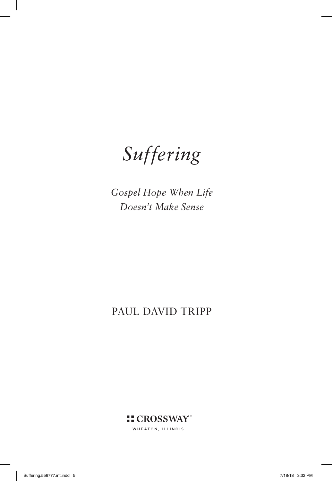*Gospel Hope When Life Doesn't Make Sense*

## PAUL DAVID TRIPP

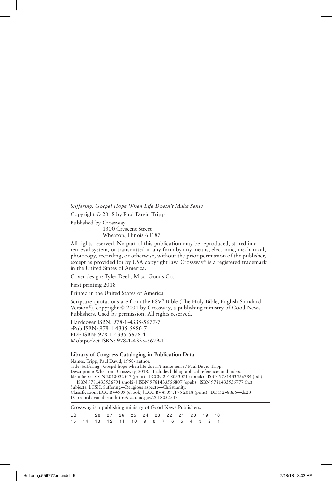#### *Suffering: Gospel Hope When Life Doesn't Make Sense*

Copyright © 2018 by Paul David Tripp

Published by Crossway 1300 Crescent Street Wheaton, Illinois 60187

All rights reserved. No part of this publication may be reproduced, stored in a retrieval system, or transmitted in any form by any means, electronic, mechanical, photocopy, recording, or otherwise, without the prior permission of the publisher, except as provided for by USA copyright law. Crossway® is a registered trademark in the United States of America.

Cover design: Tyler Deeb, Misc. Goods Co.

First printing 2018

Printed in the United States of America

Scripture quotations are from the ESV® Bible (The Holy Bible, English Standard Version®), copyright © 2001 by Crossway, a publishing ministry of Good News Publishers. Used by permission. All rights reserved.

Hardcover ISBN: 978-1-4335-5677-7 ePub ISBN: 978-1-4335-5680-7 PDF ISBN: 978-1-4335-5678-4 Mobipocket ISBN: 978-1-4335-5679-1

#### **Library of Congress Cataloging-in-Publication Data**

Names: Tripp, Paul David, 1950- author. Title: Suffering : Gospel hope when life doesn't make sense / Paul David Tripp. Description: Wheaton : Crossway, 2018. | Includes bibliographical references and index. Identifiers: LCCN 2018032547 (print) | LCCN 2018033071 (ebook) | ISBN 9781433556784 (pdf) | ISBN 9781433556791 (mobi) | ISBN 9781433556807 (epub) | ISBN 9781433556777 (hc) Subjects: LCSH: Suffering—Religious aspects—Christianity. Classification: LCC BV4909 (ebook) | LCC BV4909 .T75 2018 (print) | DDC 248.8/6—dc23 LC record available at https://lccn.loc.gov/2018032547 Crossway is a publishing ministry of Good News Publishers.

|  |  | LB 28 27 26 25 24 23 22 21 20 19 18 |  |  |  |  |  |
|--|--|-------------------------------------|--|--|--|--|--|
|  |  | 15 14 13 12 11 10 9 8 7 6 5 4 3 2 1 |  |  |  |  |  |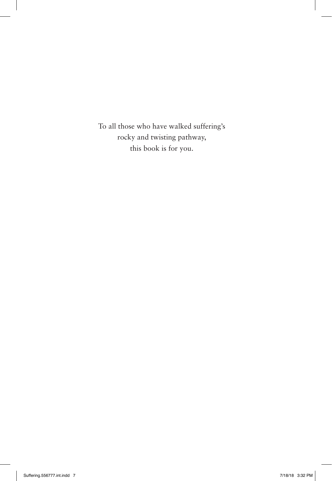To all those who have walked suffering's rocky and twisting pathway, this book is for you.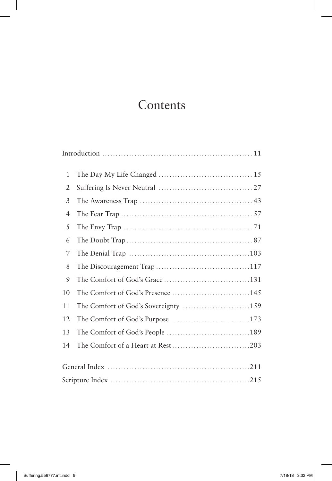# Contents

| $\mathbf{1}$   |  |
|----------------|--|
| $\overline{2}$ |  |
| 3              |  |
| $\overline{4}$ |  |
| 5              |  |
| 6              |  |
| 7              |  |
| 8              |  |
| 9              |  |
| 10             |  |
| 11             |  |
| 12             |  |
| 13             |  |
| 14             |  |
|                |  |
|                |  |

I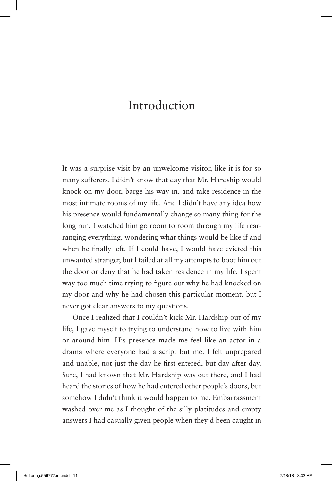## Introduction

It was a surprise visit by an unwelcome visitor, like it is for so many sufferers. I didn't know that day that Mr. Hardship would knock on my door, barge his way in, and take residence in the most intimate rooms of my life. And I didn't have any idea how his presence would fundamentally change so many thing for the long run. I watched him go room to room through my life rearranging everything, wondering what things would be like if and when he finally left. If I could have, I would have evicted this unwanted stranger, but I failed at all my attempts to boot him out the door or deny that he had taken residence in my life. I spent way too much time trying to figure out why he had knocked on my door and why he had chosen this particular moment, but I never got clear answers to my questions.

Once I realized that I couldn't kick Mr. Hardship out of my life, I gave myself to trying to understand how to live with him or around him. His presence made me feel like an actor in a drama where everyone had a script but me. I felt unprepared and unable, not just the day he first entered, but day after day. Sure, I had known that Mr. Hardship was out there, and I had heard the stories of how he had entered other people's doors, but somehow I didn't think it would happen to me. Embarrassment washed over me as I thought of the silly platitudes and empty answers I had casually given people when they'd been caught in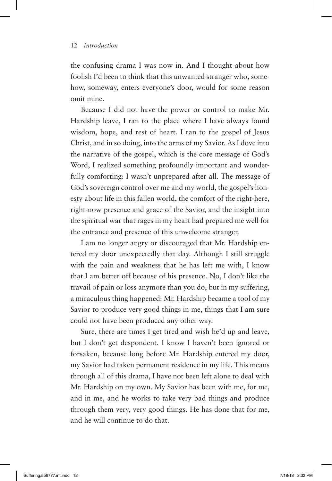#### 12 *Introduction*

the confusing drama I was now in. And I thought about how foolish I'd been to think that this unwanted stranger who, somehow, someway, enters everyone's door, would for some reason omit mine.

Because I did not have the power or control to make Mr. Hardship leave, I ran to the place where I have always found wisdom, hope, and rest of heart. I ran to the gospel of Jesus Christ, and in so doing, into the arms of my Savior. As I dove into the narrative of the gospel, which is the core message of God's Word, I realized something profoundly important and wonderfully comforting: I wasn't unprepared after all. The message of God's sovereign control over me and my world, the gospel's honesty about life in this fallen world, the comfort of the right-here, right-now presence and grace of the Savior, and the insight into the spiritual war that rages in my heart had prepared me well for the entrance and presence of this unwelcome stranger.

I am no longer angry or discouraged that Mr. Hardship entered my door unexpectedly that day. Although I still struggle with the pain and weakness that he has left me with, I know that I am better off because of his presence. No, I don't like the travail of pain or loss anymore than you do, but in my suffering, a miraculous thing happened: Mr. Hardship became a tool of my Savior to produce very good things in me, things that I am sure could not have been produced any other way.

Sure, there are times I get tired and wish he'd up and leave, but I don't get despondent. I know I haven't been ignored or forsaken, because long before Mr. Hardship entered my door, my Savior had taken permanent residence in my life. This means through all of this drama, I have not been left alone to deal with Mr. Hardship on my own. My Savior has been with me, for me, and in me, and he works to take very bad things and produce through them very, very good things. He has done that for me, and he will continue to do that.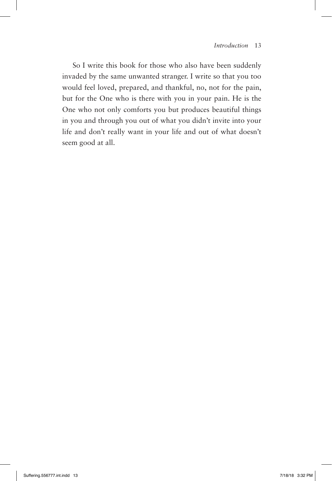So I write this book for those who also have been suddenly invaded by the same unwanted stranger. I write so that you too would feel loved, prepared, and thankful, no, not for the pain, but for the One who is there with you in your pain. He is the One who not only comforts you but produces beautiful things in you and through you out of what you didn't invite into your life and don't really want in your life and out of what doesn't seem good at all.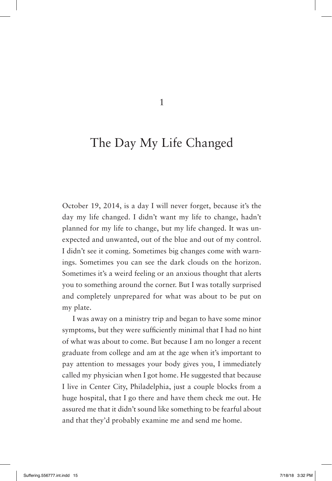### 1

## The Day My Life Changed

October 19, 2014, is a day I will never forget, because it's the day my life changed. I didn't want my life to change, hadn't planned for my life to change, but my life changed. It was unexpected and unwanted, out of the blue and out of my control. I didn't see it coming. Sometimes big changes come with warnings. Sometimes you can see the dark clouds on the horizon. Sometimes it's a weird feeling or an anxious thought that alerts you to something around the corner. But I was totally surprised and completely unprepared for what was about to be put on my plate.

I was away on a ministry trip and began to have some minor symptoms, but they were sufficiently minimal that I had no hint of what was about to come. But because I am no longer a recent graduate from college and am at the age when it's important to pay attention to messages your body gives you, I immediately called my physician when I got home. He suggested that because I live in Center City, Philadelphia, just a couple blocks from a huge hospital, that I go there and have them check me out. He assured me that it didn't sound like something to be fearful about and that they'd probably examine me and send me home.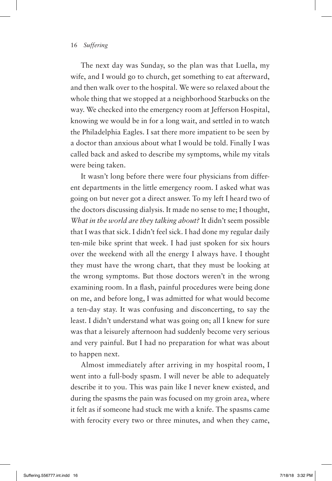The next day was Sunday, so the plan was that Luella, my wife, and I would go to church, get something to eat afterward, and then walk over to the hospital. We were so relaxed about the whole thing that we stopped at a neighborhood Starbucks on the way. We checked into the emergency room at Jefferson Hospital, knowing we would be in for a long wait, and settled in to watch the Philadelphia Eagles. I sat there more impatient to be seen by a doctor than anxious about what I would be told. Finally I was called back and asked to describe my symptoms, while my vitals were being taken.

It wasn't long before there were four physicians from different departments in the little emergency room. I asked what was going on but never got a direct answer. To my left I heard two of the doctors discussing dialysis. It made no sense to me; I thought, *What in the world are they talking about?* It didn't seem possible that I was that sick. I didn't feel sick. I had done my regular daily ten-mile bike sprint that week. I had just spoken for six hours over the weekend with all the energy I always have. I thought they must have the wrong chart, that they must be looking at the wrong symptoms. But those doctors weren't in the wrong examining room. In a flash, painful procedures were being done on me, and before long, I was admitted for what would become a ten-day stay. It was confusing and disconcerting, to say the least. I didn't understand what was going on; all I knew for sure was that a leisurely afternoon had suddenly become very serious and very painful. But I had no preparation for what was about to happen next.

Almost immediately after arriving in my hospital room, I went into a full-body spasm. I will never be able to adequately describe it to you. This was pain like I never knew existed, and during the spasms the pain was focused on my groin area, where it felt as if someone had stuck me with a knife. The spasms came with ferocity every two or three minutes, and when they came,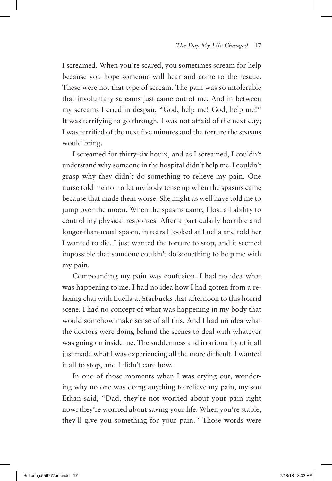I screamed. When you're scared, you sometimes scream for help because you hope someone will hear and come to the rescue. These were not that type of scream. The pain was so intolerable that involuntary screams just came out of me. And in between my screams I cried in despair, "God, help me! God, help me!" It was terrifying to go through. I was not afraid of the next day; I was terrified of the next five minutes and the torture the spasms would bring.

I screamed for thirty-six hours, and as I screamed, I couldn't understand why someone in the hospital didn't help me. I couldn't grasp why they didn't do something to relieve my pain. One nurse told me not to let my body tense up when the spasms came because that made them worse. She might as well have told me to jump over the moon. When the spasms came, I lost all ability to control my physical responses. After a particularly horrible and longer-than-usual spasm, in tears I looked at Luella and told her I wanted to die. I just wanted the torture to stop, and it seemed impossible that someone couldn't do something to help me with my pain.

Compounding my pain was confusion. I had no idea what was happening to me. I had no idea how I had gotten from a relaxing chai with Luella at Starbucks that afternoon to this horrid scene. I had no concept of what was happening in my body that would somehow make sense of all this. And I had no idea what the doctors were doing behind the scenes to deal with whatever was going on inside me. The suddenness and irrationality of it all just made what I was experiencing all the more difficult. I wanted it all to stop, and I didn't care how.

In one of those moments when I was crying out, wondering why no one was doing anything to relieve my pain, my son Ethan said, "Dad, they're not worried about your pain right now; they're worried about saving your life. When you're stable, they'll give you something for your pain." Those words were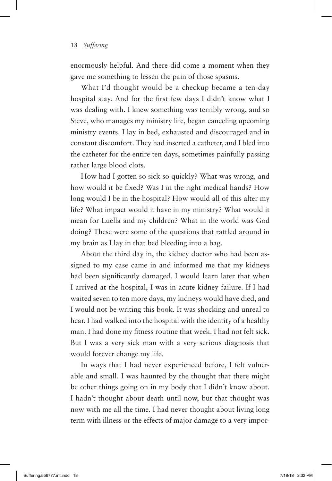enormously helpful. And there did come a moment when they gave me something to lessen the pain of those spasms.

What I'd thought would be a checkup became a ten-day hospital stay. And for the first few days I didn't know what I was dealing with. I knew something was terribly wrong, and so Steve, who manages my ministry life, began canceling upcoming ministry events. I lay in bed, exhausted and discouraged and in constant discomfort. They had inserted a catheter, and I bled into the catheter for the entire ten days, sometimes painfully passing rather large blood clots.

How had I gotten so sick so quickly? What was wrong, and how would it be fixed? Was I in the right medical hands? How long would I be in the hospital? How would all of this alter my life? What impact would it have in my ministry? What would it mean for Luella and my children? What in the world was God doing? These were some of the questions that rattled around in my brain as I lay in that bed bleeding into a bag.

About the third day in, the kidney doctor who had been assigned to my case came in and informed me that my kidneys had been significantly damaged. I would learn later that when I arrived at the hospital, I was in acute kidney failure. If I had waited seven to ten more days, my kidneys would have died, and I would not be writing this book. It was shocking and unreal to hear. I had walked into the hospital with the identity of a healthy man. I had done my fitness routine that week. I had not felt sick. But I was a very sick man with a very serious diagnosis that would forever change my life.

In ways that I had never experienced before, I felt vulnerable and small. I was haunted by the thought that there might be other things going on in my body that I didn't know about. I hadn't thought about death until now, but that thought was now with me all the time. I had never thought about living long term with illness or the effects of major damage to a very impor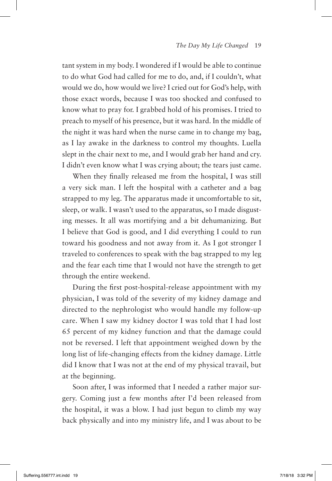tant system in my body. I wondered if I would be able to continue to do what God had called for me to do, and, if I couldn't, what would we do, how would we live? I cried out for God's help, with those exact words, because I was too shocked and confused to know what to pray for. I grabbed hold of his promises. I tried to preach to myself of his presence, but it was hard. In the middle of the night it was hard when the nurse came in to change my bag, as I lay awake in the darkness to control my thoughts. Luella slept in the chair next to me, and I would grab her hand and cry. I didn't even know what I was crying about; the tears just came.

When they finally released me from the hospital, I was still a very sick man. I left the hospital with a catheter and a bag strapped to my leg. The apparatus made it uncomfortable to sit, sleep, or walk. I wasn't used to the apparatus, so I made disgusting messes. It all was mortifying and a bit dehumanizing. But I believe that God is good, and I did everything I could to run toward his goodness and not away from it. As I got stronger I traveled to conferences to speak with the bag strapped to my leg and the fear each time that I would not have the strength to get through the entire weekend.

During the first post-hospital-release appointment with my physician, I was told of the severity of my kidney damage and directed to the nephrologist who would handle my follow-up care. When I saw my kidney doctor I was told that I had lost 65 percent of my kidney function and that the damage could not be reversed. I left that appointment weighed down by the long list of life-changing effects from the kidney damage. Little did I know that I was not at the end of my physical travail, but at the beginning.

Soon after, I was informed that I needed a rather major surgery. Coming just a few months after I'd been released from the hospital, it was a blow. I had just begun to climb my way back physically and into my ministry life, and I was about to be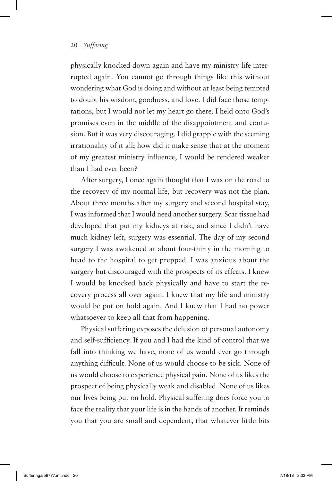physically knocked down again and have my ministry life interrupted again. You cannot go through things like this without wondering what God is doing and without at least being tempted to doubt his wisdom, goodness, and love. I did face those temptations, but I would not let my heart go there. I held onto God's promises even in the middle of the disappointment and confusion. But it was very discouraging. I did grapple with the seeming irrationality of it all; how did it make sense that at the moment of my greatest ministry influence, I would be rendered weaker than I had ever been?

After surgery, I once again thought that I was on the road to the recovery of my normal life, but recovery was not the plan. About three months after my surgery and second hospital stay, I was informed that I would need another surgery. Scar tissue had developed that put my kidneys at risk, and since I didn't have much kidney left, surgery was essential. The day of my second surgery I was awakened at about four-thirty in the morning to head to the hospital to get prepped. I was anxious about the surgery but discouraged with the prospects of its effects. I knew I would be knocked back physically and have to start the recovery process all over again. I knew that my life and ministry would be put on hold again. And I knew that I had no power whatsoever to keep all that from happening.

Physical suffering exposes the delusion of personal autonomy and self-sufficiency. If you and I had the kind of control that we fall into thinking we have, none of us would ever go through anything difficult. None of us would choose to be sick. None of us would choose to experience physical pain. None of us likes the prospect of being physically weak and disabled. None of us likes our lives being put on hold. Physical suffering does force you to face the reality that your life is in the hands of another. It reminds you that you are small and dependent, that whatever little bits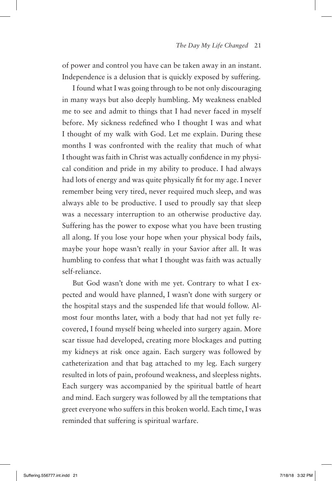of power and control you have can be taken away in an instant. Independence is a delusion that is quickly exposed by suffering.

I found what I was going through to be not only discouraging in many ways but also deeply humbling. My weakness enabled me to see and admit to things that I had never faced in myself before. My sickness redefined who I thought I was and what I thought of my walk with God. Let me explain. During these months I was confronted with the reality that much of what I thought was faith in Christ was actually confidence in my physical condition and pride in my ability to produce. I had always had lots of energy and was quite physically fit for my age. I never remember being very tired, never required much sleep, and was always able to be productive. I used to proudly say that sleep was a necessary interruption to an otherwise productive day. Suffering has the power to expose what you have been trusting all along. If you lose your hope when your physical body fails, maybe your hope wasn't really in your Savior after all. It was humbling to confess that what I thought was faith was actually self-reliance.

But God wasn't done with me yet. Contrary to what I expected and would have planned, I wasn't done with surgery or the hospital stays and the suspended life that would follow. Almost four months later, with a body that had not yet fully recovered, I found myself being wheeled into surgery again. More scar tissue had developed, creating more blockages and putting my kidneys at risk once again. Each surgery was followed by catheterization and that bag attached to my leg. Each surgery resulted in lots of pain, profound weakness, and sleepless nights. Each surgery was accompanied by the spiritual battle of heart and mind. Each surgery was followed by all the temptations that greet everyone who suffers in this broken world. Each time, I was reminded that suffering is spiritual warfare.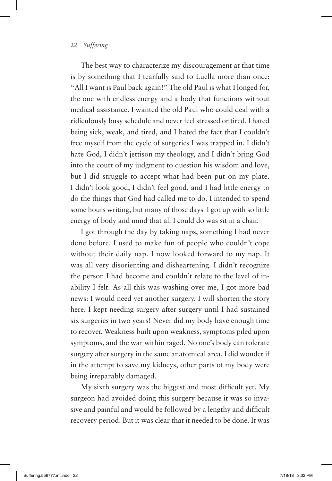The best way to characterize my discouragement at that time is by something that I tearfully said to Luella more than once: "All I want is Paul back again!" The old Paul is what I longed for, the one with endless energy and a body that functions without medical assistance. I wanted the old Paul who could deal with a ridiculously busy schedule and never feel stressed or tired. I hated being sick, weak, and tired, and I hated the fact that I couldn't free myself from the cycle of surgeries I was trapped in. I didn't hate God, I didn't jettison my theology, and I didn't bring God into the court of my judgment to question his wisdom and love, but I did struggle to accept what had been put on my plate. I didn't look good, I didn't feel good, and I had little energy to do the things that God had called me to do. I intended to spend some hours writing, but many of those days I got up with so little energy of body and mind that all I could do was sit in a chair.

I got through the day by taking naps, something I had never done before. I used to make fun of people who couldn't cope without their daily nap. I now looked forward to my nap. It was all very disorienting and disheartening. I didn't recognize the person I had become and couldn't relate to the level of inability I felt. As all this was washing over me, I got more bad news: I would need yet another surgery. I will shorten the story here. I kept needing surgery after surgery until I had sustained six surgeries in two years! Never did my body have enough time to recover. Weakness built upon weakness, symptoms piled upon symptoms, and the war within raged. No one's body can tolerate surgery after surgery in the same anatomical area. I did wonder if in the attempt to save my kidneys, other parts of my body were being irreparably damaged.

My sixth surgery was the biggest and most difficult yet. My surgeon had avoided doing this surgery because it was so invasive and painful and would be followed by a lengthy and difficult recovery period. But it was clear that it needed to be done. It was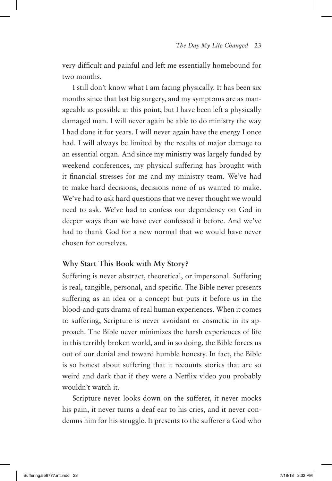very difficult and painful and left me essentially homebound for two months.

I still don't know what I am facing physically. It has been six months since that last big surgery, and my symptoms are as manageable as possible at this point, but I have been left a physically damaged man. I will never again be able to do ministry the way I had done it for years. I will never again have the energy I once had. I will always be limited by the results of major damage to an essential organ. And since my ministry was largely funded by weekend conferences, my physical suffering has brought with it financial stresses for me and my ministry team. We've had to make hard decisions, decisions none of us wanted to make. We've had to ask hard questions that we never thought we would need to ask. We've had to confess our dependency on God in deeper ways than we have ever confessed it before. And we've had to thank God for a new normal that we would have never chosen for ourselves.

#### **Why Start This Book with My Story?**

Suffering is never abstract, theoretical, or impersonal. Suffering is real, tangible, personal, and specific. The Bible never presents suffering as an idea or a concept but puts it before us in the blood-and-guts drama of real human experiences. When it comes to suffering, Scripture is never avoidant or cosmetic in its approach. The Bible never minimizes the harsh experiences of life in this terribly broken world, and in so doing, the Bible forces us out of our denial and toward humble honesty. In fact, the Bible is so honest about suffering that it recounts stories that are so weird and dark that if they were a Netflix video you probably wouldn't watch it.

Scripture never looks down on the sufferer, it never mocks his pain, it never turns a deaf ear to his cries, and it never condemns him for his struggle. It presents to the sufferer a God who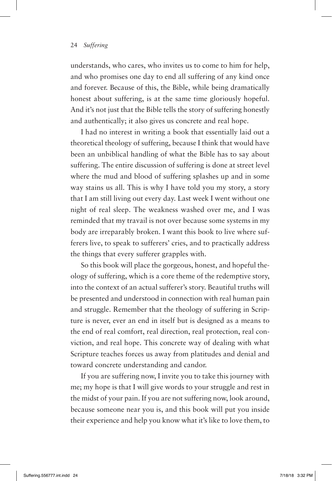understands, who cares, who invites us to come to him for help, and who promises one day to end all suffering of any kind once and forever. Because of this, the Bible, while being dramatically honest about suffering, is at the same time gloriously hopeful. And it's not just that the Bible tells the story of suffering honestly and authentically; it also gives us concrete and real hope.

I had no interest in writing a book that essentially laid out a theoretical theology of suffering, because I think that would have been an unbiblical handling of what the Bible has to say about suffering. The entire discussion of suffering is done at street level where the mud and blood of suffering splashes up and in some way stains us all. This is why I have told you my story, a story that I am still living out every day. Last week I went without one night of real sleep. The weakness washed over me, and I was reminded that my travail is not over because some systems in my body are irreparably broken. I want this book to live where sufferers live, to speak to sufferers' cries, and to practically address the things that every sufferer grapples with.

So this book will place the gorgeous, honest, and hopeful theology of suffering, which is a core theme of the redemptive story, into the context of an actual sufferer's story. Beautiful truths will be presented and understood in connection with real human pain and struggle. Remember that the theology of suffering in Scripture is never, ever an end in itself but is designed as a means to the end of real comfort, real direction, real protection, real conviction, and real hope. This concrete way of dealing with what Scripture teaches forces us away from platitudes and denial and toward concrete understanding and candor.

If you are suffering now, I invite you to take this journey with me; my hope is that I will give words to your struggle and rest in the midst of your pain. If you are not suffering now, look around, because someone near you is, and this book will put you inside their experience and help you know what it's like to love them, to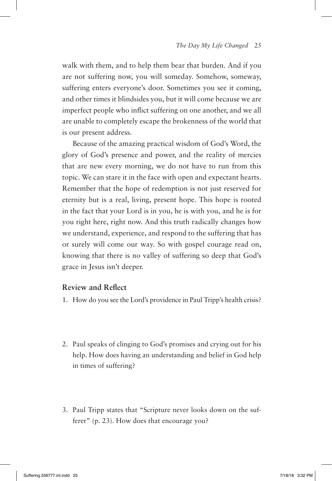walk with them, and to help them bear that burden. And if you are not suffering now, you will someday. Somehow, someway, suffering enters everyone's door. Sometimes you see it coming, and other times it blindsides you, but it will come because we are imperfect people who inflict suffering on one another, and we all are unable to completely escape the brokenness of the world that is our present address.

Because of the amazing practical wisdom of God's Word, the glory of God's presence and power, and the reality of mercies that are new every morning, we do not have to run from this topic. We can stare it in the face with open and expectant hearts. Remember that the hope of redemption is not just reserved for eternity but is a real, living, present hope. This hope is rooted in the fact that your Lord is in you, he is with you, and he is for you right here, right now. And this truth radically changes how we understand, experience, and respond to the suffering that has or surely will come our way. So with gospel courage read on, knowing that there is no valley of suffering so deep that God's grace in Jesus isn't deeper.

#### **Review and Reflect**

- 1. How do you see the Lord's providence in Paul Tripp's health crisis?
- 2. Paul speaks of clinging to God's promises and crying out for his help. How does having an understanding and belief in God help in times of suffering?
- 3. Paul Tripp states that "Scripture never looks down on the sufferer" (p. 23). How does that encourage you?